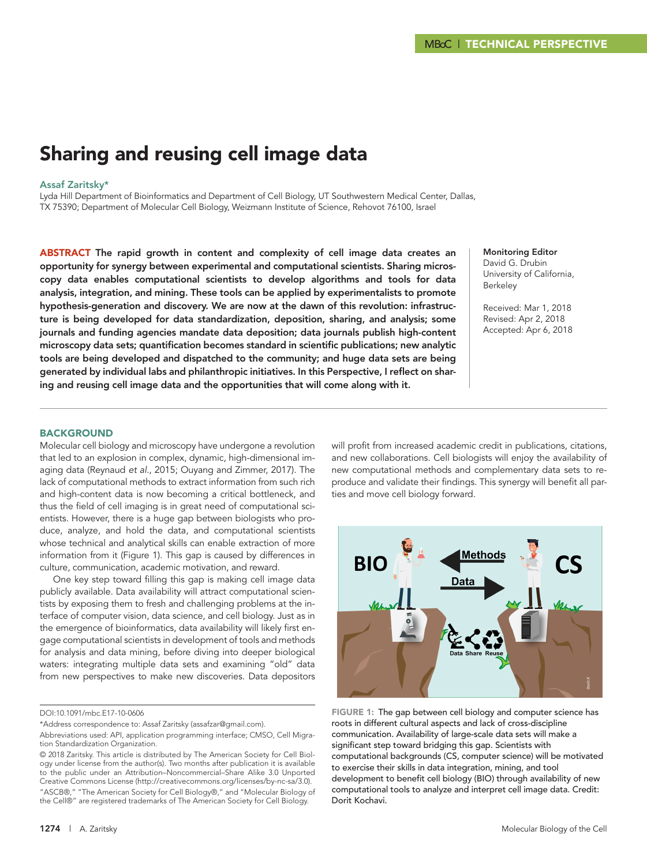# Sharing and reusing cell image data

## Assaf Zaritsky\*

Lyda Hill Department of Bioinformatics and Department of Cell Biology, UT Southwestern Medical Center, Dallas, TX 75390; Department of Molecular Cell Biology, Weizmann Institute of Science, Rehovot 76100, Israel

ABSTRACT The rapid growth in content and complexity of cell image data creates an opportunity for synergy between experimental and computational scientists. Sharing microscopy data enables computational scientists to develop algorithms and tools for data analysis, integration, and mining. These tools can be applied by experimentalists to promote hypothesis-generation and discovery. We are now at the dawn of this revolution: infrastructure is being developed for data standardization, deposition, sharing, and analysis; some journals and funding agencies mandate data deposition; data journals publish high-content microscopy data sets; quantification becomes standard in scientific publications; new analytic tools are being developed and dispatched to the community; and huge data sets are being generated by individual labs and philanthropic initiatives. In this Perspective, I reflect on sharing and reusing cell image data and the opportunities that will come along with it.

Monitoring Editor David G. Drubin University of California, Berkeley

Received: Mar 1, 2018 Revised: Apr 2, 2018 Accepted: Apr 6, 2018

#### BACKGROUND

Molecular cell biology and microscopy have undergone a revolution that led to an explosion in complex, dynamic, high-dimensional imaging data (Reynaud *et al.*, 2015; Ouyang and Zimmer, 2017). The lack of computational methods to extract information from such rich and high-content data is now becoming a critical bottleneck, and thus the field of cell imaging is in great need of computational scientists. However, there is a huge gap between biologists who produce, analyze, and hold the data, and computational scientists whose technical and analytical skills can enable extraction of more information from it (Figure 1). This gap is caused by differences in culture, communication, academic motivation, and reward.

One key step toward filling this gap is making cell image data publicly available. Data availability will attract computational scientists by exposing them to fresh and challenging problems at the interface of computer vision, data science, and cell biology. Just as in the emergence of bioinformatics, data availability will likely first engage computational scientists in development of tools and methods for analysis and data mining, before diving into deeper biological waters: integrating multiple data sets and examining "old" data from new perspectives to make new discoveries. Data depositors will profit from increased academic credit in publications, citations, and new collaborations. Cell biologists will enjoy the availability of new computational methods and complementary data sets to reproduce and validate their findings. This synergy will benefit all parties and move cell biology forward.



FIGURE 1: The gap between cell biology and computer science has roots in different cultural aspects and lack of cross-discipline communication. Availability of large-scale data sets will make a significant step toward bridging this gap. Scientists with computational backgrounds (CS, computer science) will be motivated to exercise their skills in data integration, mining, and tool development to benefit cell biology (BIO) through availability of new computational tools to analyze and interpret cell image data. Credit: Dorit Kochavi.

DOI:10.1091/mbc.E17-10-0606

<sup>\*</sup>Address correspondence to: Assaf Zaritsky (assafzar@gmail.com).

Abbreviations used: API, application programming interface; CMSO, Cell Migration Standardization Organization.

<sup>© 2018</sup> Zaritsky. This article is distributed by The American Society for Cell Biology under license from the author(s). Two months after publication it is available to the public under an Attribution–Noncommercial–Share Alike 3.0 Unported Creative Commons License (http://creativecommons.org/licenses/by-nc-sa/3.0). "ASCB®," "The American Society for Cell Biology®," and "Molecular Biology of the Cell®" are registered trademarks of The American Society for Cell Biology.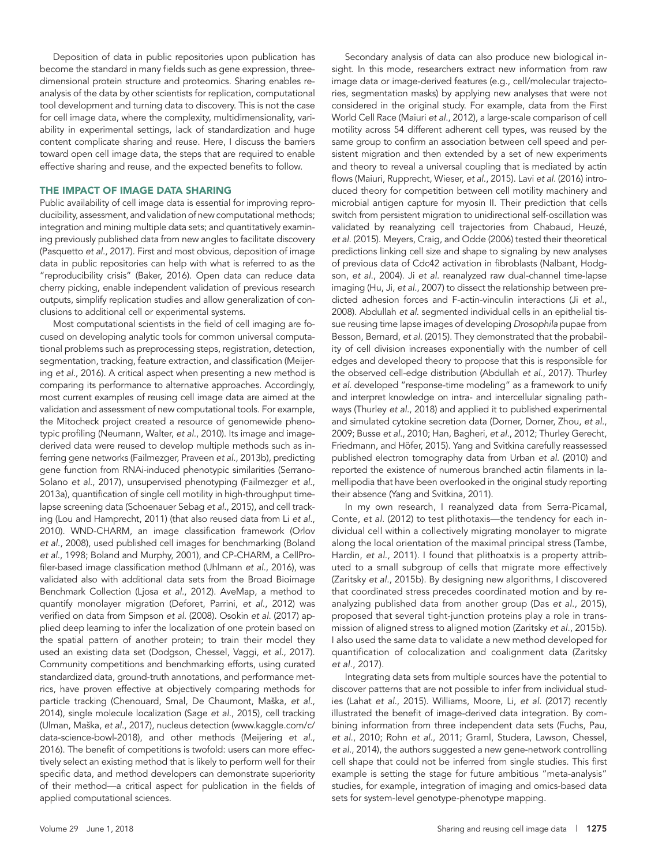Deposition of data in public repositories upon publication has become the standard in many fields such as gene expression, threedimensional protein structure and proteomics. Sharing enables reanalysis of the data by other scientists for replication, computational tool development and turning data to discovery. This is not the case for cell image data, where the complexity, multidimensionality, variability in experimental settings, lack of standardization and huge content complicate sharing and reuse. Here, I discuss the barriers toward open cell image data, the steps that are required to enable effective sharing and reuse, and the expected benefits to follow.

#### THE IMPACT OF IMAGE DATA SHARING

Public availability of cell image data is essential for improving reproducibility, assessment, and validation of new computational methods; integration and mining multiple data sets; and quantitatively examining previously published data from new angles to facilitate discovery (Pasquetto *et al.*, 2017). First and most obvious, deposition of image data in public repositories can help with what is referred to as the "reproducibility crisis" (Baker, 2016). Open data can reduce data cherry picking, enable independent validation of previous research outputs, simplify replication studies and allow generalization of conclusions to additional cell or experimental systems.

Most computational scientists in the field of cell imaging are focused on developing analytic tools for common universal computational problems such as preprocessing steps, registration, detection, segmentation, tracking, feature extraction, and classification (Meijering *et al.*, 2016). A critical aspect when presenting a new method is comparing its performance to alternative approaches. Accordingly, most current examples of reusing cell image data are aimed at the validation and assessment of new computational tools. For example, the Mitocheck project created a resource of genomewide phenotypic profiling (Neumann, Walter, *et al.*, 2010). Its image and imagederived data were reused to develop multiple methods such as inferring gene networks (Failmezger, Praveen *et al.*, 2013b), predicting gene function from RNAi-induced phenotypic similarities (Serrano-Solano *et al.*, 2017), unsupervised phenotyping (Failmezger *et al.*, 2013a), quantification of single cell motility in high-throughput timelapse screening data (Schoenauer Sebag *et al.*, 2015), and cell tracking (Lou and Hamprecht, 2011) (that also reused data from Li *et al.*, 2010). WND-CHARM, an image classification framework (Orlov *et al.*, 2008), used published cell images for benchmarking (Boland *et al.*, 1998; Boland and Murphy, 2001), and CP-CHARM, a CellProfiler-based image classification method (Uhlmann *et al.*, 2016), was validated also with additional data sets from the Broad Bioimage Benchmark Collection (Ljosa *et al.*, 2012). AveMap, a method to quantify monolayer migration (Deforet, Parrini, *et al.*, 2012) was verified on data from Simpson *et al.* (2008). Osokin *et al.* (2017) applied deep learning to infer the localization of one protein based on the spatial pattern of another protein; to train their model they used an existing data set (Dodgson, Chessel, Vaggi, *et al.*, 2017). Community competitions and benchmarking efforts, using curated standardized data, ground-truth annotations, and performance metrics, have proven effective at objectively comparing methods for particle tracking (Chenouard, Smal, De Chaumont, Maška, *et al.*, 2014), single molecule localization (Sage *et al.*, 2015), cell tracking (Ulman, Maška, *et al.*, 2017), nucleus detection (www.kaggle.com/c/ data-science-bowl-2018), and other methods (Meijering *et al.*, 2016). The benefit of competitions is twofold: users can more effectively select an existing method that is likely to perform well for their specific data, and method developers can demonstrate superiority of their method—a critical aspect for publication in the fields of applied computational sciences.

Secondary analysis of data can also produce new biological insight. In this mode, researchers extract new information from raw image data or image-derived features (e.g., cell/molecular trajectories, segmentation masks) by applying new analyses that were not considered in the original study. For example, data from the First World Cell Race (Maiuri *et al.*, 2012), a large-scale comparison of cell motility across 54 different adherent cell types, was reused by the same group to confirm an association between cell speed and persistent migration and then extended by a set of new experiments and theory to reveal a universal coupling that is mediated by actin flows (Maiuri, Rupprecht, Wieser, *et al.*, 2015). Lavi *et al.* (2016) introduced theory for competition between cell motility machinery and microbial antigen capture for myosin II. Their prediction that cells switch from persistent migration to unidirectional self-oscillation was validated by reanalyzing cell trajectories from Chabaud, Heuzé, *et al.* (2015). Meyers, Craig, and Odde (2006) tested their theoretical predictions linking cell size and shape to signaling by new analyses of previous data of Cdc42 activation in fibroblasts (Nalbant, Hodgson, *et al.*, 2004). Ji *et al.* reanalyzed raw dual-channel time-lapse imaging (Hu, Ji, *et al.*, 2007) to dissect the relationship between predicted adhesion forces and F-actin-vinculin interactions (Ji *et al.*, 2008). Abdullah *et al.* segmented individual cells in an epithelial tissue reusing time lapse images of developing *Drosophila* pupae from Besson, Bernard, *et al.* (2015). They demonstrated that the probability of cell division increases exponentially with the number of cell edges and developed theory to propose that this is responsible for the observed cell-edge distribution (Abdullah *et al.*, 2017). Thurley *et al.* developed "response-time modeling" as a framework to unify and interpret knowledge on intra- and intercellular signaling pathways (Thurley *et al.*, 2018) and applied it to published experimental and simulated cytokine secretion data (Dorner, Dorner, Zhou, *et al.*, 2009; Busse *et al.*, 2010; Han, Bagheri, *et al.*, 2012; Thurley Gerecht, Friedmann, and Höfer, 2015). Yang and Svitkina carefully reassessed published electron tomography data from Urban *et al.* (2010) and reported the existence of numerous branched actin filaments in lamellipodia that have been overlooked in the original study reporting their absence (Yang and Svitkina, 2011).

In my own research, I reanalyzed data from Serra-Picamal, Conte, *et al.* (2012) to test plithotaxis—the tendency for each individual cell within a collectively migrating monolayer to migrate along the local orientation of the maximal principal stress (Tambe, Hardin, *et al.*, 2011). I found that plithoatxis is a property attributed to a small subgroup of cells that migrate more effectively (Zaritsky *et al.*, 2015b). By designing new algorithms, I discovered that coordinated stress precedes coordinated motion and by reanalyzing published data from another group (Das *et al.*, 2015), proposed that several tight-junction proteins play a role in transmission of aligned stress to aligned motion (Zaritsky *et al.*, 2015b). I also used the same data to validate a new method developed for quantification of colocalization and coalignment data (Zaritsky *et al.*, 2017).

Integrating data sets from multiple sources have the potential to discover patterns that are not possible to infer from individual studies (Lahat *et al.*, 2015). Williams, Moore, Li, *et al.* (2017) recently illustrated the benefit of image-derived data integration. By combining information from three independent data sets (Fuchs, Pau, *et al.*, 2010; Rohn *et al.*, 2011; Graml, Studera, Lawson, Chessel, *et al.*, 2014), the authors suggested a new gene-network controlling cell shape that could not be inferred from single studies. This first example is setting the stage for future ambitious "meta-analysis" studies, for example, integration of imaging and omics-based data sets for system-level genotype-phenotype mapping.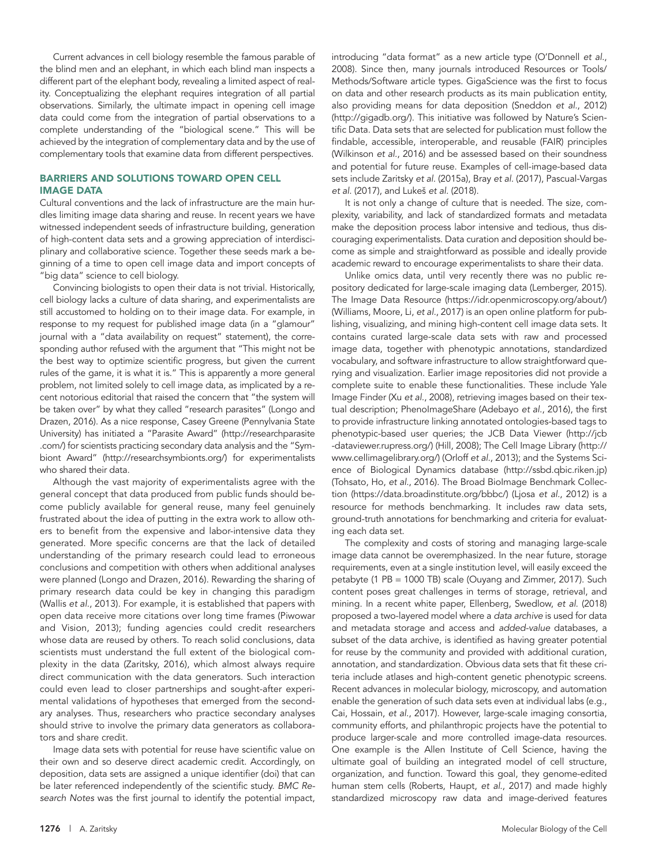Current advances in cell biology resemble the famous parable of the blind men and an elephant, in which each blind man inspects a different part of the elephant body, revealing a limited aspect of reality. Conceptualizing the elephant requires integration of all partial observations. Similarly, the ultimate impact in opening cell image data could come from the integration of partial observations to a complete understanding of the "biological scene." This will be achieved by the integration of complementary data and by the use of complementary tools that examine data from different perspectives.

# BARRIERS AND SOLUTIONS TOWARD OPEN CELL IMAGE DATA

Cultural conventions and the lack of infrastructure are the main hurdles limiting image data sharing and reuse. In recent years we have witnessed independent seeds of infrastructure building, generation of high-content data sets and a growing appreciation of interdisciplinary and collaborative science. Together these seeds mark a beginning of a time to open cell image data and import concepts of "big data" science to cell biology.

Convincing biologists to open their data is not trivial. Historically, cell biology lacks a culture of data sharing, and experimentalists are still accustomed to holding on to their image data. For example, in response to my request for published image data (in a "glamour" journal with a "data availability on request" statement), the corresponding author refused with the argument that "This might not be the best way to optimize scientific progress, but given the current rules of the game, it is what it is." This is apparently a more general problem, not limited solely to cell image data, as implicated by a recent notorious editorial that raised the concern that "the system will be taken over" by what they called "research parasites" (Longo and Drazen, 2016). As a nice response, Casey Greene (Pennylvania State University) has initiated a "Parasite Award" (http://researchparasite .com/) for scientists practicing secondary data analysis and the "Symbiont Award" (http://researchsymbionts.org/) for experimentalists who shared their data.

Although the vast majority of experimentalists agree with the general concept that data produced from public funds should become publicly available for general reuse, many feel genuinely frustrated about the idea of putting in the extra work to allow others to benefit from the expensive and labor-intensive data they generated. More specific concerns are that the lack of detailed understanding of the primary research could lead to erroneous conclusions and competition with others when additional analyses were planned (Longo and Drazen, 2016). Rewarding the sharing of primary research data could be key in changing this paradigm (Wallis *et al.*, 2013). For example, it is established that papers with open data receive more citations over long time frames (Piwowar and Vision, 2013); funding agencies could credit researchers whose data are reused by others. To reach solid conclusions, data scientists must understand the full extent of the biological complexity in the data (Zaritsky, 2016), which almost always require direct communication with the data generators. Such interaction could even lead to closer partnerships and sought-after experimental validations of hypotheses that emerged from the secondary analyses. Thus, researchers who practice secondary analyses should strive to involve the primary data generators as collaborators and share credit.

Image data sets with potential for reuse have scientific value on their own and so deserve direct academic credit. Accordingly, on deposition, data sets are assigned a unique identifier (doi) that can be later referenced independently of the scientific study. *BMC Research Notes* was the first journal to identify the potential impact,

introducing "data format" as a new article type (O'Donnell *et al.*, 2008). Since then, many journals introduced Resources or Tools/ Methods/Software article types. GigaScience was the first to focus on data and other research products as its main publication entity, also providing means for data deposition (Sneddon *et al.*, 2012) (http://gigadb.org/). This initiative was followed by Nature's Scientific Data. Data sets that are selected for publication must follow the findable, accessible, interoperable, and reusable (FAIR) principles (Wilkinson *et al.*, 2016) and be assessed based on their soundness and potential for future reuse. Examples of cell-image-based data sets include Zaritsky *et al.* (2015a), Bray *et al.* (2017), Pascual-Vargas *et al.* (2017), and Lukeš *et al.* (2018).

It is not only a change of culture that is needed. The size, complexity, variability, and lack of standardized formats and metadata make the deposition process labor intensive and tedious, thus discouraging experimentalists. Data curation and deposition should become as simple and straightforward as possible and ideally provide academic reward to encourage experimentalists to share their data.

Unlike omics data, until very recently there was no public repository dedicated for large-scale imaging data (Lemberger, 2015). The Image Data Resource (https://idr.openmicroscopy.org/about/) (Williams, Moore, Li, *et al.*, 2017) is an open online platform for publishing, visualizing, and mining high-content cell image data sets. It contains curated large-scale data sets with raw and processed image data, together with phenotypic annotations, standardized vocabulary, and software infrastructure to allow straightforward querying and visualization. Earlier image repositories did not provide a complete suite to enable these functionalities. These include Yale Image Finder (Xu *et al.*, 2008), retrieving images based on their textual description; PhenoImageShare (Adebayo *et al.*, 2016), the first to provide infrastructure linking annotated ontologies-based tags to phenotypic-based user queries; the JCB Data Viewer (http://jcb -dataviewer.rupress.org/) (Hill, 2008); The Cell Image Library (http:// www.cellimagelibrary.org/) (Orloff *et al.*, 2013); and the Systems Science of Biological Dynamics database (http://ssbd.qbic.riken.jp) (Tohsato, Ho, *et al.*, 2016). The Broad BioImage Benchmark Collection (https://data.broadinstitute.org/bbbc/) (Ljosa *et al.*, 2012) is a resource for methods benchmarking. It includes raw data sets, ground-truth annotations for benchmarking and criteria for evaluating each data set.

The complexity and costs of storing and managing large-scale image data cannot be overemphasized. In the near future, storage requirements, even at a single institution level, will easily exceed the petabyte (1 PB = 1000 TB) scale (Ouyang and Zimmer, 2017). Such content poses great challenges in terms of storage, retrieval, and mining. In a recent white paper, Ellenberg, Swedlow, *et al.* (2018) proposed a two-layered model where a *data archive* is used for data and metadata storage and access and *added-value* databases, a subset of the data archive, is identified as having greater potential for reuse by the community and provided with additional curation, annotation, and standardization. Obvious data sets that fit these criteria include atlases and high-content genetic phenotypic screens. Recent advances in molecular biology, microscopy, and automation enable the generation of such data sets even at individual labs (e.g., Cai, Hossain, *et al.*, 2017). However, large-scale imaging consortia, community efforts, and philanthropic projects have the potential to produce larger-scale and more controlled image-data resources. One example is the Allen Institute of Cell Science, having the ultimate goal of building an integrated model of cell structure, organization, and function. Toward this goal, they genome-edited human stem cells (Roberts, Haupt, *et al.*, 2017) and made highly standardized microscopy raw data and image-derived features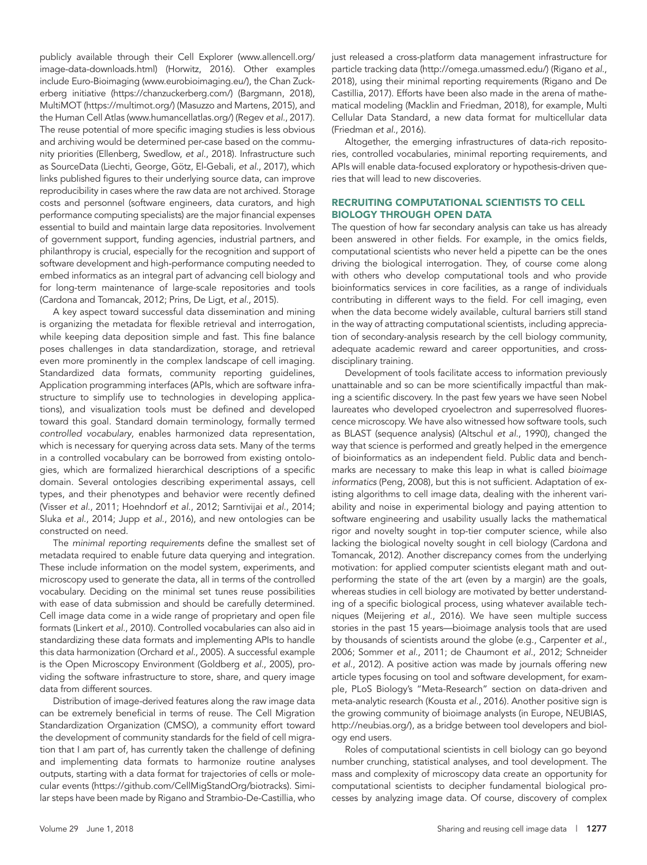publicly available through their Cell Explorer (www.allencell.org/ image-data-downloads.html) (Horwitz, 2016). Other examples include Euro-Bioimaging (www.eurobioimaging.eu/), the Chan Zuckerberg initiative (https://chanzuckerberg.com/) (Bargmann, 2018), MultiMOT (https://multimot.org/) (Masuzzo and Martens, 2015), and the Human Cell Atlas (www.humancellatlas.org/) (Regev *et al.*, 2017). The reuse potential of more specific imaging studies is less obvious and archiving would be determined per-case based on the community priorities (Ellenberg, Swedlow, *et al.*, 2018). Infrastructure such as SourceData (Liechti, George, Götz, El-Gebali, *et al.*, 2017), which links published figures to their underlying source data, can improve reproducibility in cases where the raw data are not archived. Storage costs and personnel (software engineers, data curators, and high performance computing specialists) are the major financial expenses essential to build and maintain large data repositories. Involvement of government support, funding agencies, industrial partners, and philanthropy is crucial, especially for the recognition and support of software development and high-performance computing needed to embed informatics as an integral part of advancing cell biology and for long-term maintenance of large-scale repositories and tools (Cardona and Tomancak, 2012; Prins, De Ligt, *et al.*, 2015).

A key aspect toward successful data dissemination and mining is organizing the metadata for flexible retrieval and interrogation, while keeping data deposition simple and fast. This fine balance poses challenges in data standardization, storage, and retrieval even more prominently in the complex landscape of cell imaging. Standardized data formats, community reporting guidelines, Application programming interfaces (APIs, which are software infrastructure to simplify use to technologies in developing applications), and visualization tools must be defined and developed toward this goal. Standard domain terminology, formally termed *controlled vocabulary*, enables harmonized data representation, which is necessary for querying across data sets. Many of the terms in a controlled vocabulary can be borrowed from existing ontologies, which are formalized hierarchical descriptions of a specific domain. Several ontologies describing experimental assays, cell types, and their phenotypes and behavior were recently defined (Visser *et al.*, 2011; Hoehndorf *et al.*, 2012; Sarntivijai *et al.*, 2014; Sluka *et al.*, 2014; Jupp *et al.*, 2016), and new ontologies can be constructed on need.

The *minimal reporting requirements* define the smallest set of metadata required to enable future data querying and integration. These include information on the model system, experiments, and microscopy used to generate the data, all in terms of the controlled vocabulary. Deciding on the minimal set tunes reuse possibilities with ease of data submission and should be carefully determined. Cell image data come in a wide range of proprietary and open file formats (Linkert *et al.*, 2010). Controlled vocabularies can also aid in standardizing these data formats and implementing APIs to handle this data harmonization (Orchard *et al.*, 2005). A successful example is the Open Microscopy Environment (Goldberg *et al.*, 2005), providing the software infrastructure to store, share, and query image data from different sources.

Distribution of image-derived features along the raw image data can be extremely beneficial in terms of reuse. The Cell Migration Standardization Organization (CMSO), a community effort toward the development of community standards for the field of cell migration that I am part of, has currently taken the challenge of defining and implementing data formats to harmonize routine analyses outputs, starting with a data format for trajectories of cells or molecular events (https://github.com/CellMigStandOrg/biotracks). Similar steps have been made by Rigano and Strambio-De-Castillia, who

just released a cross-platform data management infrastructure for particle tracking data (http://omega.umassmed.edu/) (Rigano *et al.*, 2018), using their minimal reporting requirements (Rigano and De Castillia, 2017). Efforts have been also made in the arena of mathematical modeling (Macklin and Friedman, 2018), for example, Multi Cellular Data Standard, a new data format for multicellular data (Friedman *et al.*, 2016).

Altogether, the emerging infrastructures of data-rich repositories, controlled vocabularies, minimal reporting requirements, and APIs will enable data-focused exploratory or hypothesis-driven queries that will lead to new discoveries.

# RECRUITING COMPUTATIONAL SCIENTISTS TO CELL BIOLOGY THROUGH OPEN DATA

The question of how far secondary analysis can take us has already been answered in other fields. For example, in the omics fields, computational scientists who never held a pipette can be the ones driving the biological interrogation. They, of course come along with others who develop computational tools and who provide bioinformatics services in core facilities, as a range of individuals contributing in different ways to the field. For cell imaging, even when the data become widely available, cultural barriers still stand in the way of attracting computational scientists, including appreciation of secondary-analysis research by the cell biology community, adequate academic reward and career opportunities, and crossdisciplinary training.

Development of tools facilitate access to information previously unattainable and so can be more scientifically impactful than making a scientific discovery. In the past few years we have seen Nobel laureates who developed cryoelectron and superresolved fluorescence microscopy. We have also witnessed how software tools, such as BLAST (sequence analysis) (Altschul *et al.*, 1990), changed the way that science is performed and greatly helped in the emergence of bioinformatics as an independent field. Public data and benchmarks are necessary to make this leap in what is called *bioimage informatics* (Peng, 2008), but this is not sufficient. Adaptation of existing algorithms to cell image data, dealing with the inherent variability and noise in experimental biology and paying attention to software engineering and usability usually lacks the mathematical rigor and novelty sought in top-tier computer science, while also lacking the biological novelty sought in cell biology (Cardona and Tomancak, 2012). Another discrepancy comes from the underlying motivation: for applied computer scientists elegant math and outperforming the state of the art (even by a margin) are the goals, whereas studies in cell biology are motivated by better understanding of a specific biological process, using whatever available techniques (Meijering *et al.*, 2016). We have seen multiple success stories in the past 15 years—bioimage analysis tools that are used by thousands of scientists around the globe (e.g., Carpenter *et al.*, 2006; Sommer *et al.*, 2011; de Chaumont *et al.*, 2012; Schneider *et al.*, 2012). A positive action was made by journals offering new article types focusing on tool and software development, for example, PLoS Biology's "Meta-Research" section on data-driven and meta-analytic research (Kousta *et al.*, 2016). Another positive sign is the growing community of bioimage analysts (in Europe, NEUBIAS, http://neubias.org/), as a bridge between tool developers and biology end users.

Roles of computational scientists in cell biology can go beyond number crunching, statistical analyses, and tool development. The mass and complexity of microscopy data create an opportunity for computational scientists to decipher fundamental biological processes by analyzing image data. Of course, discovery of complex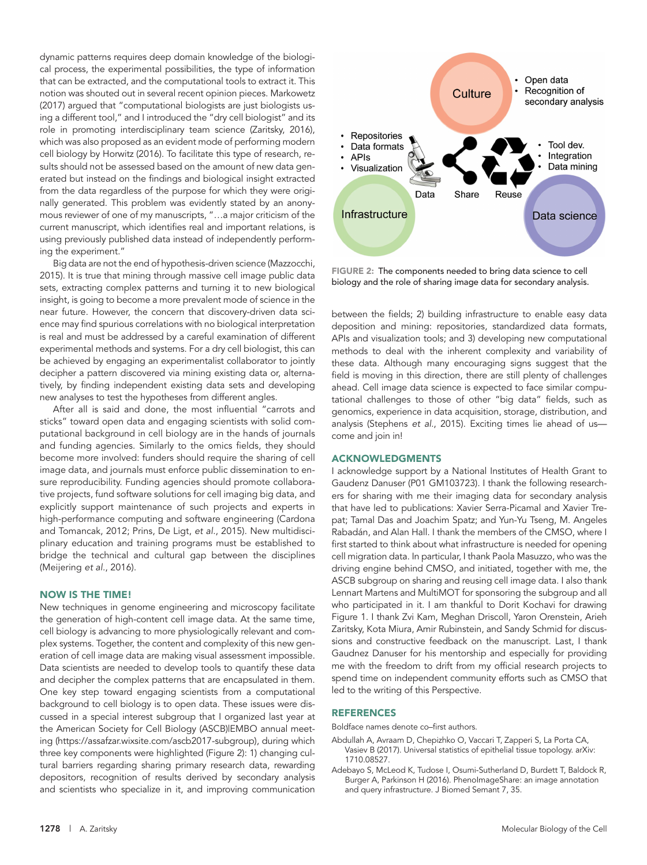dynamic patterns requires deep domain knowledge of the biological process, the experimental possibilities, the type of information that can be extracted, and the computational tools to extract it. This notion was shouted out in several recent opinion pieces. Markowetz (2017) argued that "computational biologists are just biologists using a different tool," and I introduced the "dry cell biologist" and its role in promoting interdisciplinary team science (Zaritsky, 2016), which was also proposed as an evident mode of performing modern cell biology by Horwitz (2016). To facilitate this type of research, results should not be assessed based on the amount of new data generated but instead on the findings and biological insight extracted from the data regardless of the purpose for which they were originally generated. This problem was evidently stated by an anonymous reviewer of one of my manuscripts, "…a major criticism of the current manuscript, which identifies real and important relations, is using previously published data instead of independently performing the experiment."

Big data are not the end of hypothesis-driven science (Mazzocchi, 2015). It is true that mining through massive cell image public data sets, extracting complex patterns and turning it to new biological insight, is going to become a more prevalent mode of science in the near future. However, the concern that discovery-driven data science may find spurious correlations with no biological interpretation is real and must be addressed by a careful examination of different experimental methods and systems. For a dry cell biologist, this can be achieved by engaging an experimentalist collaborator to jointly decipher a pattern discovered via mining existing data or, alternatively, by finding independent existing data sets and developing new analyses to test the hypotheses from different angles.

After all is said and done, the most influential "carrots and sticks" toward open data and engaging scientists with solid computational background in cell biology are in the hands of journals and funding agencies. Similarly to the omics fields, they should become more involved: funders should require the sharing of cell image data, and journals must enforce public dissemination to ensure reproducibility. Funding agencies should promote collaborative projects, fund software solutions for cell imaging big data, and explicitly support maintenance of such projects and experts in high-performance computing and software engineering (Cardona and Tomancak, 2012; Prins, De Ligt, *et al.*, 2015). New multidisciplinary education and training programs must be established to bridge the technical and cultural gap between the disciplines (Meijering *et al.*, 2016).

## NOW IS THE TIME!

New techniques in genome engineering and microscopy facilitate the generation of high-content cell image data. At the same time, cell biology is advancing to more physiologically relevant and complex systems. Together, the content and complexity of this new generation of cell image data are making visual assessment impossible. Data scientists are needed to develop tools to quantify these data and decipher the complex patterns that are encapsulated in them. One key step toward engaging scientists from a computational background to cell biology is to open data. These issues were discussed in a special interest subgroup that I organized last year at the American Society for Cell Biology (ASCB)|EMBO annual meeting (https://assafzar.wixsite.com/ascb2017-subgroup), during which three key components were highlighted (Figure 2): 1) changing cultural barriers regarding sharing primary research data, rewarding depositors, recognition of results derived by secondary analysis and scientists who specialize in it, and improving communication



FIGURE 2: The components needed to bring data science to cell biology and the role of sharing image data for secondary analysis.

between the fields; 2) building infrastructure to enable easy data deposition and mining: repositories, standardized data formats, APIs and visualization tools; and 3) developing new computational methods to deal with the inherent complexity and variability of these data. Although many encouraging signs suggest that the field is moving in this direction, there are still plenty of challenges ahead. Cell image data science is expected to face similar computational challenges to those of other "big data" fields, such as genomics, experience in data acquisition, storage, distribution, and analysis (Stephens *et al.*, 2015). Exciting times lie ahead of us come and join in!

## ACKNOWLEDGMENTS

I acknowledge support by a National Institutes of Health Grant to Gaudenz Danuser (P01 GM103723). I thank the following researchers for sharing with me their imaging data for secondary analysis that have led to publications: Xavier Serra-Picamal and Xavier Trepat; Tamal Das and Joachim Spatz; and Yun-Yu Tseng, M. Angeles Rabadán, and Alan Hall. I thank the members of the CMSO, where I first started to think about what infrastructure is needed for opening cell migration data. In particular, I thank Paola Masuzzo, who was the driving engine behind CMSO, and initiated, together with me, the ASCB subgroup on sharing and reusing cell image data. I also thank Lennart Martens and MultiMOT for sponsoring the subgroup and all who participated in it. I am thankful to Dorit Kochavi for drawing Figure 1. I thank Zvi Kam, Meghan Driscoll, Yaron Orenstein, Arieh Zaritsky, Kota Miura, Amir Rubinstein, and Sandy Schmid for discussions and constructive feedback on the manuscript. Last, I thank Gaudnez Danuser for his mentorship and especially for providing me with the freedom to drift from my official research projects to spend time on independent community efforts such as CMSO that led to the writing of this Perspective.

#### **REFERENCES**

Boldface names denote co–first authors.

- Abdullah A, Avraam D, Chepizhko O, Vaccari T, Zapperi S, La Porta CA, Vasiev B (2017). Universal statistics of epithelial tissue topology. arXiv: 1710.08527.
- Adebayo S, McLeod K, Tudose I, Osumi-Sutherland D, Burdett T, Baldock R, Burger A, Parkinson H (2016). PhenoImageShare: an image annotation and query infrastructure. J Biomed Semant 7, 35.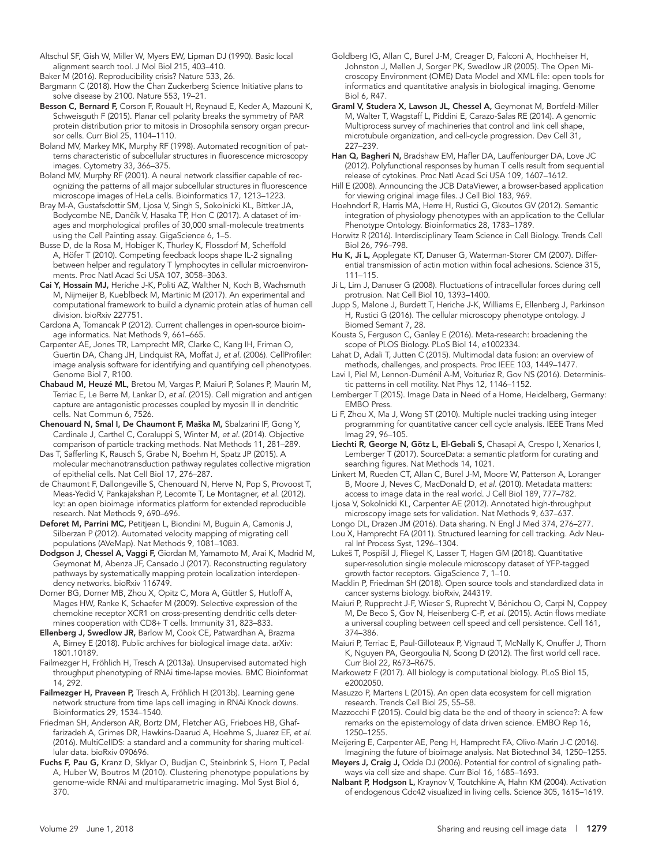Altschul SF, Gish W, Miller W, Myers EW, Lipman DJ (1990). Basic local alignment search tool. J Mol Biol 215, 403–410.

Baker M (2016). Reproducibility crisis? Nature 533, 26.

Bargmann C (2018). How the Chan Zuckerberg Science Initiative plans to solve disease by 2100. Nature 553, 19–21.

Besson C, Bernard F, Corson F, Rouault H, Reynaud E, Keder A, Mazouni K, Schweisguth F (2015). Planar cell polarity breaks the symmetry of PAR protein distribution prior to mitosis in Drosophila sensory organ precursor cells. Curr Biol 25, 1104–1110.

Boland MV, Markey MK, Murphy RF (1998). Automated recognition of patterns characteristic of subcellular structures in fluorescence microscopy images. Cytometry 33, 366–375.

Boland MV, Murphy RF (2001). A neural network classifier capable of recognizing the patterns of all major subcellular structures in fluorescence microscope images of HeLa cells. Bioinformatics 17, 1213–1223.

Bray M-A, Gustafsdottir SM, Ljosa V, Singh S, Sokolnicki KL, Bittker JA, Bodycombe NE, Dančík V, Hasaka TP, Hon C (2017). A dataset of images and morphological profiles of 30,000 small-molecule treatments using the Cell Painting assay. GigaScience 6, 1–5.

Busse D, de la Rosa M, Hobiger K, Thurley K, Flossdorf M, Scheffold A, Höfer T (2010). Competing feedback loops shape IL-2 signaling between helper and regulatory T lymphocytes in cellular microenvironments. Proc Natl Acad Sci USA 107, 3058–3063.

Cai Y, Hossain MJ, Heriche J-K, Politi AZ, Walther N, Koch B, Wachsmuth M, Nijmeijer B, Kueblbeck M, Martinic M (2017). An experimental and computational framework to build a dynamic protein atlas of human cell division. bioRxiv 227751.

Cardona A, Tomancak P (2012). Current challenges in open-source bioimage informatics. Nat Methods 9, 661–665.

Carpenter AE, Jones TR, Lamprecht MR, Clarke C, Kang IH, Friman O, Guertin DA, Chang JH, Lindquist RA, Moffat J, *et al.* (2006). CellProfiler: image analysis software for identifying and quantifying cell phenotypes. Genome Biol 7, R100.

Chabaud M, Heuzé ML, Bretou M, Vargas P, Maiuri P, Solanes P, Maurin M, Terriac E, Le Berre M, Lankar D, *et al.* (2015). Cell migration and antigen capture are antagonistic processes coupled by myosin II in dendritic cells. Nat Commun 6, 7526.

Chenouard N, Smal I, De Chaumont F, Maška M, Sbalzarini IF, Gong Y, Cardinale J, Carthel C, Coraluppi S, Winter M, *et al.* (2014). Objective comparison of particle tracking methods. Nat Methods 11, 281–289.

Das T, Safferling K, Rausch S, Grabe N, Boehm H, Spatz JP (2015). A molecular mechanotransduction pathway regulates collective migration of epithelial cells. Nat Cell Biol 17, 276–287.

de Chaumont F, Dallongeville S, Chenouard N, Herve N, Pop S, Provoost T, Meas-Yedid V, Pankajakshan P, Lecomte T, Le Montagner, *et al.* (2012). Icy: an open bioimage informatics platform for extended reproducible research. Nat Methods 9, 690–696.

Deforet M, Parrini MC, Petitjean L, Biondini M, Buguin A, Camonis J, Silberzan P (2012). Automated velocity mapping of migrating cell populations (AVeMap). Nat Methods 9, 1081–1083.

Dodgson J, Chessel A, Vaggi F, Giordan M, Yamamoto M, Arai K, Madrid M, Geymonat M, Abenza JF, Cansado J (2017). Reconstructing regulatory pathways by systematically mapping protein localization interdependency networks. bioRxiv 116749.

Dorner BG, Dorner MB, Zhou X, Opitz C, Mora A, Güttler S, Hutloff A, Mages HW, Ranke K, Schaefer M (2009). Selective expression of the chemokine receptor XCR1 on cross-presenting dendritic cells determines cooperation with CD8+ T cells. Immunity 31, 823–833.

Ellenberg J, Swedlow JR, Barlow M, Cook CE, Patwardhan A, Brazma A, Birney E (2018). Public archives for biological image data. arXiv: 1801.10189.

Failmezger H, Fröhlich H, Tresch A (2013a). Unsupervised automated high throughput phenotyping of RNAi time-lapse movies. BMC Bioinformat 14, 292.

Failmezger H, Praveen P, Tresch A, Fröhlich H (2013b). Learning gene network structure from time laps cell imaging in RNAi Knock downs. Bioinformatics 29, 1534–1540.

Friedman SH, Anderson AR, Bortz DM, Fletcher AG, Frieboes HB, Ghaffarizadeh A, Grimes DR, Hawkins-Daarud A, Hoehme S, Juarez EF, *et al.* (2016). MultiCellDS: a standard and a community for sharing multicellular data. bioRxiv 090696.

Fuchs F, Pau G, Kranz D, Sklyar O, Budjan C, Steinbrink S, Horn T, Pedal A, Huber W, Boutros M (2010). Clustering phenotype populations by genome-wide RNAi and multiparametric imaging. Mol Syst Biol 6, 370.

Goldberg IG, Allan C, Burel J-M, Creager D, Falconi A, Hochheiser H, Johnston J, Mellen J, Sorger PK, Swedlow JR (2005). The Open Microscopy Environment (OME) Data Model and XML file: open tools for informatics and quantitative analysis in biological imaging. Genome Biol 6, R47.

Graml V, Studera X, Lawson JL, Chessel A, Geymonat M, Bortfeld-Miller M, Walter T, Wagstaff L, Piddini E, Carazo-Salas RE (2014). A genomic Multiprocess survey of machineries that control and link cell shape, microtubule organization, and cell-cycle progression. Dev Cell 31, 227–239.

Han Q, Bagheri N, Bradshaw EM, Hafler DA, Lauffenburger DA, Love JC (2012). Polyfunctional responses by human T cells result from sequential release of cytokines. Proc Natl Acad Sci USA 109, 1607–1612.

Hill E (2008). Announcing the JCB DataViewer, a browser-based application for viewing original image files. J Cell Biol 183, 969.

Hoehndorf R, Harris MA, Herre H, Rustici G, Gkoutos GV (2012). Semantic integration of physiology phenotypes with an application to the Cellular Phenotype Ontology. Bioinformatics 28, 1783–1789.

Horwitz R (2016). Interdisciplinary Team Science in Cell Biology. Trends Cell Biol 26, 796–798.

Hu K, Ji L, Applegate KT, Danuser G, Waterman-Storer CM (2007). Differential transmission of actin motion within focal adhesions. Science 315, 111–115.

Ji L, Lim J, Danuser G (2008). Fluctuations of intracellular forces during cell protrusion. Nat Cell Biol 10, 1393–1400.

Jupp S, Malone J, Burdett T, Heriche J-K, Williams E, Ellenberg J, Parkinson H, Rustici G (2016). The cellular microscopy phenotype ontology. J Biomed Semant 7, 28.

Kousta S, Ferguson C, Ganley E (2016). Meta-research: broadening the scope of PLOS Biology. PLoS Biol 14, e1002334.

Lahat D, Adali T, Jutten C (2015). Multimodal data fusion: an overview of methods, challenges, and prospects. Proc IEEE 103, 1449–1477.

Lavi I, Piel M, Lennon-Duménil A-M, Voituriez R, Gov NS (2016). Deterministic patterns in cell motility. Nat Phys 12, 1146–1152.

Lemberger T (2015). Image Data in Need of a Home, Heidelberg, Germany: EMBO Press.

Li F, Zhou X, Ma J, Wong ST (2010). Multiple nuclei tracking using integer programming for quantitative cancer cell cycle analysis. IEEE Trans Med Imag 29, 96–105.

Liechti R, George N, Götz L, El-Gebali S, Chasapi A, Crespo I, Xenarios I, Lemberger T (2017). SourceData: a semantic platform for curating and searching figures. Nat Methods 14, 1021.

Linkert M, Rueden CT, Allan C, Burel J-M, Moore W, Patterson A, Loranger B, Moore J, Neves C, MacDonald D, *et al.* (2010). Metadata matters: access to image data in the real world. J Cell Biol 189, 777–782.

Ljosa V, Sokolnicki KL, Carpenter AE (2012). Annotated high-throughput microscopy image sets for validation. Nat Methods 9, 637–637.

Longo DL, Drazen JM (2016). Data sharing. N Engl J Med 374, 276–277.

Lou X, Hamprecht FA (2011). Structured learning for cell tracking. Adv Neural Inf Process Syst, 1296–1304.

Lukeš T, Pospíšil J, Fliegel K, Lasser T, Hagen GM (2018). Quantitative super-resolution single molecule microscopy dataset of YFP-tagged growth factor receptors. GigaScience 7, 1–10.

Macklin P, Friedman SH (2018). Open source tools and standardized data in cancer systems biology. bioRxiv, 244319.

Maiuri P, Rupprecht J-F, Wieser S, Ruprecht V, Bénichou O, Carpi N, Coppey M, De Beco S, Gov N, Heisenberg C-P, *et al.* (2015). Actin flows mediate a universal coupling between cell speed and cell persistence. Cell 161, 374–386.

Maiuri P, Terriac E, Paul-Gilloteaux P, Vignaud T, McNally K, Onuffer J, Thorn K, Nguyen PA, Georgoulia N, Soong D (2012). The first world cell race. Curr Biol 22, R673–R675.

Markowetz F (2017). All biology is computational biology. PLoS Biol 15, e2002050.

Masuzzo P, Martens L (2015). An open data ecosystem for cell migration research. Trends Cell Biol 25, 55–58.

Mazzocchi F (2015). Could big data be the end of theory in science?: A few remarks on the epistemology of data driven science. EMBO Rep 16, 1250–1255.

Meijering E, Carpenter AE, Peng H, Hamprecht FA, Olivo-Marin J-C (2016). Imagining the future of bioimage analysis. Nat Biotechnol 34, 1250–1255.

Meyers J, Craig J, Odde DJ (2006). Potential for control of signaling pathways via cell size and shape. Curr Biol 16, 1685–1693.

Nalbant P, Hodgson L, Kraynov V, Toutchkine A, Hahn KM (2004). Activation of endogenous Cdc42 visualized in living cells. Science 305, 1615–1619.